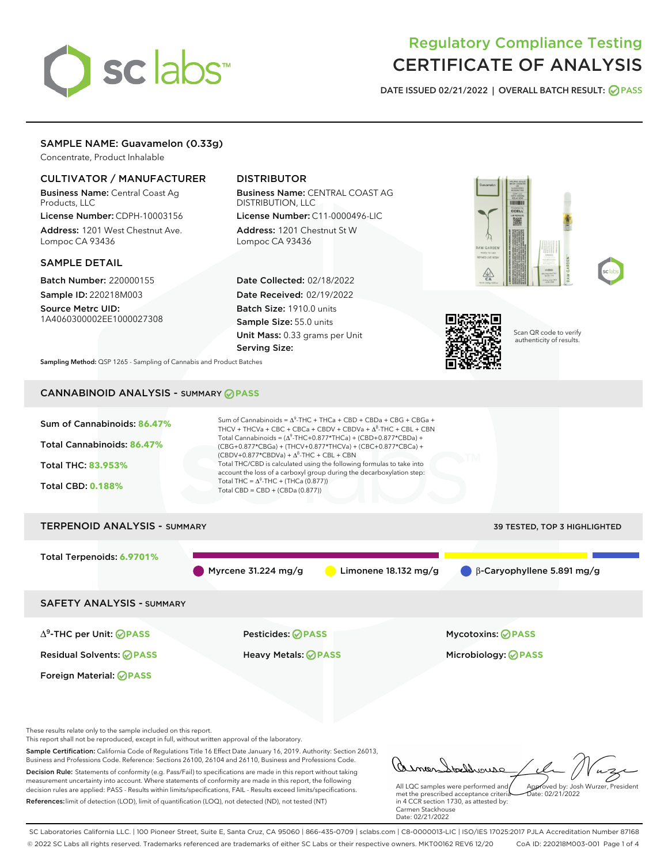# sclabs<sup>\*</sup>

# Regulatory Compliance Testing CERTIFICATE OF ANALYSIS

DATE ISSUED 02/21/2022 | OVERALL BATCH RESULT: @ PASS

# SAMPLE NAME: Guavamelon (0.33g)

Concentrate, Product Inhalable

# CULTIVATOR / MANUFACTURER

Business Name: Central Coast Ag Products, LLC

License Number: CDPH-10003156 Address: 1201 West Chestnut Ave. Lompoc CA 93436

#### SAMPLE DETAIL

Batch Number: 220000155 Sample ID: 220218M003

Source Metrc UID: 1A4060300002EE1000027308

# DISTRIBUTOR

Business Name: CENTRAL COAST AG DISTRIBUTION, LLC License Number: C11-0000496-LIC

Address: 1201 Chestnut St W Lompoc CA 93436

Date Collected: 02/18/2022 Date Received: 02/19/2022 Batch Size: 1910.0 units Sample Size: 55.0 units Unit Mass: 0.33 grams per Unit Serving Size:







Scan QR code to verify authenticity of results.

Sampling Method: QSP 1265 - Sampling of Cannabis and Product Batches

# CANNABINOID ANALYSIS - SUMMARY **PASS**

| Sum of Cannabinoids: 86.47%<br>Total Cannabinoids: 86.47%<br>Total THC: 83.953%<br><b>Total CBD: 0.188%</b> | Sum of Cannabinoids = $\Delta^9$ -THC + THCa + CBD + CBDa + CBG + CBGa +<br>THCV + THCVa + CBC + CBCa + CBDV + CBDVa + $\Delta^8$ -THC + CBL + CBN<br>Total Cannabinoids = $(\Delta^9$ -THC+0.877*THCa) + (CBD+0.877*CBDa) +<br>(CBG+0.877*CBGa) + (THCV+0.877*THCVa) + (CBC+0.877*CBCa) +<br>$(CBDV+0.877*CBDVa) + \Delta^8$ -THC + CBL + CBN<br>Total THC/CBD is calculated using the following formulas to take into<br>account the loss of a carboxyl group during the decarboxylation step:<br>Total THC = $\Delta^9$ -THC + (THCa (0.877))<br>Total CBD = CBD + (CBDa (0.877)) |                                   |
|-------------------------------------------------------------------------------------------------------------|--------------------------------------------------------------------------------------------------------------------------------------------------------------------------------------------------------------------------------------------------------------------------------------------------------------------------------------------------------------------------------------------------------------------------------------------------------------------------------------------------------------------------------------------------------------------------------------|-----------------------------------|
| <b>TERPENOID ANALYSIS - SUMMARY</b>                                                                         |                                                                                                                                                                                                                                                                                                                                                                                                                                                                                                                                                                                      | 39 TESTED, TOP 3 HIGHLIGHTED      |
| Total Terpenoids: 6.9701%                                                                                   | Myrcene 31.224 mg/g<br>Limonene $18.132$ mg/g                                                                                                                                                                                                                                                                                                                                                                                                                                                                                                                                        | $\beta$ -Caryophyllene 5.891 mg/g |
| <b>SAFETY ANALYSIS - SUMMARY</b>                                                                            |                                                                                                                                                                                                                                                                                                                                                                                                                                                                                                                                                                                      |                                   |
| $\Delta^9$ -THC per Unit: <b>PASS</b>                                                                       | <b>Pesticides: ⊘ PASS</b>                                                                                                                                                                                                                                                                                                                                                                                                                                                                                                                                                            | <b>Mycotoxins: ⊘PASS</b>          |
| <b>Residual Solvents: ⊘ PASS</b>                                                                            | <b>Heavy Metals: ⊘ PASS</b>                                                                                                                                                                                                                                                                                                                                                                                                                                                                                                                                                          | Microbiology: <b>⊘ PASS</b>       |
| Foreign Material: <b>⊘ PASS</b>                                                                             |                                                                                                                                                                                                                                                                                                                                                                                                                                                                                                                                                                                      |                                   |
| These results relate only to the sample included on this report.                                            |                                                                                                                                                                                                                                                                                                                                                                                                                                                                                                                                                                                      |                                   |

This report shall not be reproduced, except in full, without written approval of the laboratory.

Sample Certification: California Code of Regulations Title 16 Effect Date January 16, 2019. Authority: Section 26013, Business and Professions Code. Reference: Sections 26100, 26104 and 26110, Business and Professions Code. Decision Rule: Statements of conformity (e.g. Pass/Fail) to specifications are made in this report without taking measurement uncertainty into account. Where statements of conformity are made in this report, the following decision rules are applied: PASS - Results within limits/specifications, FAIL - Results exceed limits/specifications.

References:limit of detection (LOD), limit of quantification (LOQ), not detected (ND), not tested (NT)

tachdrouse Approved by: Josh Wurzer, President

Date: 02/21/2022

All LQC samples were performed and met the prescribed acceptance criteria in 4 CCR section 1730, as attested by: Carmen Stackhouse Date: 02/21/2022

SC Laboratories California LLC. | 100 Pioneer Street, Suite E, Santa Cruz, CA 95060 | 866-435-0709 | sclabs.com | C8-0000013-LIC | ISO/IES 17025:2017 PJLA Accreditation Number 87168 © 2022 SC Labs all rights reserved. Trademarks referenced are trademarks of either SC Labs or their respective owners. MKT00162 REV6 12/20 CoA ID: 220218M003-001 Page 1 of 4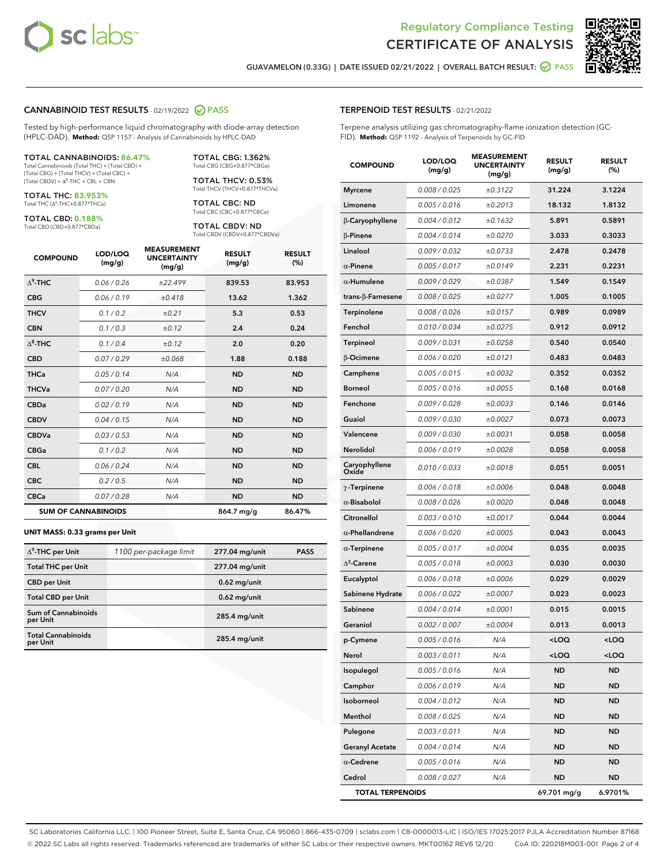



GUAVAMELON (0.33G) | DATE ISSUED 02/21/2022 | OVERALL BATCH RESULT: **○** PASS

#### CANNABINOID TEST RESULTS - 02/19/2022 2 PASS

Tested by high-performance liquid chromatography with diode-array detection (HPLC-DAD). **Method:** QSP 1157 - Analysis of Cannabinoids by HPLC-DAD

#### TOTAL CANNABINOIDS: **86.47%**

Total Cannabinoids (Total THC) + (Total CBD) + (Total CBG) + (Total THCV) + (Total CBC) +  $(Total CBDV) +  $\Delta^8$ -THC + CBL + CBN$ 

TOTAL THC: **83.953%** Total THC (Δ<sup>9</sup>-THC+0.877\*THCa)

TOTAL CBD: **0.188%**

Total CBD (CBD+0.877\*CBDa)

TOTAL CBG: 1.362% Total CBG (CBG+0.877\*CBGa)

TOTAL THCV: 0.53% Total THCV (THCV+0.877\*THCVa)

TOTAL CBC: ND Total CBC (CBC+0.877\*CBCa)

TOTAL CBDV: ND Total CBDV (CBDV+0.877\*CBDVa)

| <b>COMPOUND</b>  | LOD/LOQ<br>(mg/g)          | <b>MEASUREMENT</b><br><b>UNCERTAINTY</b><br>(mg/g) | <b>RESULT</b><br>(mg/g) | <b>RESULT</b><br>(%) |
|------------------|----------------------------|----------------------------------------------------|-------------------------|----------------------|
| $\Lambda^9$ -THC | 0.06 / 0.26                | ±22.499                                            | 839.53                  | 83.953               |
| <b>CBG</b>       | 0.06 / 0.19                | ±0.418                                             | 13.62                   | 1.362                |
| <b>THCV</b>      | 0.1/0.2                    | ±0.21                                              | 5.3                     | 0.53                 |
| <b>CBN</b>       | 0.1/0.3                    | ±0.12                                              | 2.4                     | 0.24                 |
| $\Delta^8$ -THC  | 0.1/0.4                    | ±0.12                                              | 2.0                     | 0.20                 |
| <b>CBD</b>       | 0.07/0.29                  | ±0.068                                             | 1.88                    | 0.188                |
| <b>THCa</b>      | 0.05/0.14                  | N/A                                                | <b>ND</b>               | <b>ND</b>            |
| <b>THCVa</b>     | 0.07/0.20                  | N/A                                                | <b>ND</b>               | <b>ND</b>            |
| <b>CBDa</b>      | 0.02 / 0.19                | N/A                                                | <b>ND</b>               | <b>ND</b>            |
| <b>CBDV</b>      | 0.04 / 0.15                | N/A                                                | <b>ND</b>               | <b>ND</b>            |
| <b>CBDVa</b>     | 0.03/0.53                  | N/A                                                | <b>ND</b>               | <b>ND</b>            |
| <b>CBGa</b>      | 0.1 / 0.2                  | N/A                                                | <b>ND</b>               | <b>ND</b>            |
| <b>CBL</b>       | 0.06 / 0.24                | N/A                                                | <b>ND</b>               | <b>ND</b>            |
| <b>CBC</b>       | 0.2 / 0.5                  | N/A                                                | <b>ND</b>               | <b>ND</b>            |
| <b>CBCa</b>      | 0.07 / 0.28                | N/A                                                | <b>ND</b>               | <b>ND</b>            |
|                  | <b>SUM OF CANNABINOIDS</b> |                                                    | 864.7 mg/g              | 86.47%               |

#### **UNIT MASS: 0.33 grams per Unit**

| $\Delta^9$ -THC per Unit               | 1100 per-package limit | 277.04 mg/unit  | <b>PASS</b> |
|----------------------------------------|------------------------|-----------------|-------------|
| <b>Total THC per Unit</b>              |                        | 277.04 mg/unit  |             |
| <b>CBD</b> per Unit                    |                        | $0.62$ mg/unit  |             |
| <b>Total CBD per Unit</b>              |                        | $0.62$ mg/unit  |             |
| <b>Sum of Cannabinoids</b><br>per Unit |                        | 285.4 mg/unit   |             |
| <b>Total Cannabinoids</b><br>per Unit  |                        | $285.4$ mg/unit |             |

| <b>COMPOUND</b>         | LOD/LOQ<br>(mg/g) | <b>MEASUREMENT</b><br><b>UNCERTAINTY</b><br>(mg/g) | <b>RESULT</b><br>(mg/g)                          | <b>RESULT</b><br>$(\%)$ |
|-------------------------|-------------------|----------------------------------------------------|--------------------------------------------------|-------------------------|
| <b>Myrcene</b>          | 0.008 / 0.025     | ±0.3122                                            | 31.224                                           | 3.1224                  |
| Limonene                | 0.005 / 0.016     | ±0.2013                                            | 18.132                                           | 1.8132                  |
| β-Caryophyllene         | 0.004 / 0.012     | ±0.1632                                            | 5.891                                            | 0.5891                  |
| $\beta$ -Pinene         | 0.004 / 0.014     | ±0.0270                                            | 3.033                                            | 0.3033                  |
| Linalool                | 0.009 / 0.032     | ±0.0733                                            | 2.478                                            | 0.2478                  |
| $\alpha$ -Pinene        | 0.005 / 0.017     | ±0.0149                                            | 2.231                                            | 0.2231                  |
| $\alpha$ -Humulene      | 0.009/0.029       | ±0.0387                                            | 1.549                                            | 0.1549                  |
| trans-β-Farnesene       | 0.008 / 0.025     | ±0.0277                                            | 1.005                                            | 0.1005                  |
| Terpinolene             | 0.008 / 0.026     | ±0.0157                                            | 0.989                                            | 0.0989                  |
| Fenchol                 | 0.010 / 0.034     | ±0.0275                                            | 0.912                                            | 0.0912                  |
| Terpineol               | 0.009 / 0.031     | ±0.0258                                            | 0.540                                            | 0.0540                  |
| β-Ocimene               | 0.006 / 0.020     | ±0.0121                                            | 0.483                                            | 0.0483                  |
| Camphene                | 0.005 / 0.015     | ±0.0032                                            | 0.352                                            | 0.0352                  |
| <b>Borneol</b>          | 0.005 / 0.016     | ±0.0055                                            | 0.168                                            | 0.0168                  |
| Fenchone                | 0.009 / 0.028     | ±0.0033                                            | 0.146                                            | 0.0146                  |
| Guaiol                  | 0.009 / 0.030     | ±0.0027                                            | 0.073                                            | 0.0073                  |
| Valencene               | 0.009 / 0.030     | ±0.0031                                            | 0.058                                            | 0.0058                  |
| Nerolidol               | 0.006 / 0.019     | ±0.0028                                            | 0.058                                            | 0.0058                  |
| Caryophyllene<br>Oxide  | 0.010 / 0.033     | ±0.0018                                            | 0.051                                            | 0.0051                  |
| $\gamma$ -Terpinene     | 0.006 / 0.018     | ±0.0006                                            | 0.048                                            | 0.0048                  |
| $\alpha$ -Bisabolol     | 0.008 / 0.026     | ±0.0020                                            | 0.048                                            | 0.0048                  |
| Citronellol             | 0.003 / 0.010     | ±0.0017                                            | 0.044                                            | 0.0044                  |
| $\alpha$ -Phellandrene  | 0.006 / 0.020     | ±0.0005                                            | 0.043                                            | 0.0043                  |
| $\alpha$ -Terpinene     | 0.005 / 0.017     | ±0.0004                                            | 0.035                                            | 0.0035                  |
| $\Delta^3$ -Carene      | 0.005 / 0.018     | ±0.0003                                            | 0.030                                            | 0.0030                  |
| Eucalyptol              | 0.006 / 0.018     | ±0.0006                                            | 0.029                                            | 0.0029                  |
| Sabinene Hydrate        | 0.006 / 0.022     | ±0.0007                                            | 0.023                                            | 0.0023                  |
| Sabinene                | 0.004 / 0.014     | ±0.0001                                            | 0.015                                            | 0.0015                  |
| Geraniol                | 0.002 / 0.007     | ±0.0004                                            | 0.013                                            | 0.0013                  |
| p-Cymene                | 0.005 / 0.016     | N/A                                                | <loo< th=""><th><math>\sim</math> 00</th></loo<> | $\sim$ 00               |
| Nerol                   | 0.003 / 0.011     | N/A                                                | <loq< th=""><th><math>&lt;</math>LOQ</th></loq<> | $<$ LOQ                 |
| Isopulegol              | 0.005 / 0.016     | N/A                                                | ND                                               | ND                      |
| Camphor                 | 0.006 / 0.019     | N/A                                                | ND                                               | ND                      |
| Isoborneol              | 0.004 / 0.012     | N/A                                                | ND                                               | ND                      |
| Menthol                 | 0.008 / 0.025     | N/A                                                | ND                                               | ND                      |
| Pulegone                | 0.003 / 0.011     | N/A                                                | ND                                               | ND                      |
| <b>Geranyl Acetate</b>  | 0.004 / 0.014     | N/A                                                | ND                                               | ND                      |
| $\alpha$ -Cedrene       | 0.005 / 0.016     | N/A                                                | ND                                               | ND                      |
| Cedrol                  | 0.008 / 0.027     | N/A                                                | ND                                               | ND                      |
| <b>TOTAL TERPENOIDS</b> |                   |                                                    | 69.701 mg/g                                      | 6.9701%                 |

SC Laboratories California LLC. | 100 Pioneer Street, Suite E, Santa Cruz, CA 95060 | 866-435-0709 | sclabs.com | C8-0000013-LIC | ISO/IES 17025:2017 PJLA Accreditation Number 87168 © 2022 SC Labs all rights reserved. Trademarks referenced are trademarks of either SC Labs or their respective owners. MKT00162 REV6 12/20 CoA ID: 220218M003-001 Page 2 of 4

# TERPENOID TEST RESULTS - 02/21/2022

Terpene analysis utilizing gas chromatography-flame ionization detection (GC-FID). **Method:** QSP 1192 - Analysis of Terpenoids by GC-FID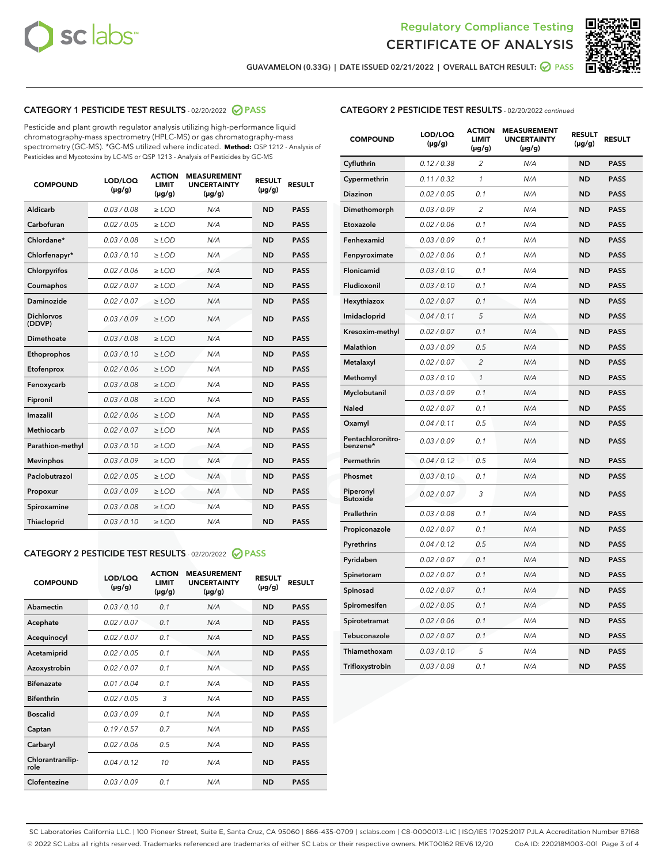



GUAVAMELON (0.33G) | DATE ISSUED 02/21/2022 | OVERALL BATCH RESULT:  $\bigcirc$  PASS

# CATEGORY 1 PESTICIDE TEST RESULTS - 02/20/2022 2 PASS

Pesticide and plant growth regulator analysis utilizing high-performance liquid chromatography-mass spectrometry (HPLC-MS) or gas chromatography-mass spectrometry (GC-MS). \*GC-MS utilized where indicated. **Method:** QSP 1212 - Analysis of Pesticides and Mycotoxins by LC-MS or QSP 1213 - Analysis of Pesticides by GC-MS

| <b>COMPOUND</b>             | LOD/LOQ<br>$(\mu g/g)$ | <b>ACTION</b><br>LIMIT<br>$(\mu g/g)$ | <b>MEASUREMENT</b><br><b>UNCERTAINTY</b><br>$(\mu g/g)$ | <b>RESULT</b><br>$(\mu g/g)$ | <b>RESULT</b> |  |
|-----------------------------|------------------------|---------------------------------------|---------------------------------------------------------|------------------------------|---------------|--|
| Aldicarb                    | 0.03 / 0.08            | $\ge$ LOD                             | N/A                                                     | <b>ND</b>                    | <b>PASS</b>   |  |
| Carbofuran                  | 0.02 / 0.05            | $>$ LOD                               | N/A                                                     | <b>ND</b>                    | <b>PASS</b>   |  |
| Chlordane*                  | 0.03 / 0.08            | $\ge$ LOD                             | N/A                                                     | <b>ND</b>                    | <b>PASS</b>   |  |
| Chlorfenapyr*               | 0.03/0.10              | $\ge$ LOD                             | N/A                                                     | <b>ND</b>                    | <b>PASS</b>   |  |
| Chlorpyrifos                | 0.02/0.06              | $>$ LOD                               | N/A                                                     | <b>ND</b>                    | <b>PASS</b>   |  |
| Coumaphos                   | 0.02 / 0.07            | $\ge$ LOD                             | N/A                                                     | <b>ND</b>                    | <b>PASS</b>   |  |
| Daminozide                  | 0.02 / 0.07            | $\ge$ LOD                             | N/A                                                     | <b>ND</b>                    | <b>PASS</b>   |  |
| <b>Dichlorvos</b><br>(DDVP) | 0.03/0.09              | $\ge$ LOD                             | N/A                                                     | <b>ND</b>                    | <b>PASS</b>   |  |
| Dimethoate                  | 0.03/0.08              | $>$ LOD                               | N/A                                                     | <b>ND</b>                    | <b>PASS</b>   |  |
| Ethoprophos                 | 0.03/0.10              | $\ge$ LOD                             | N/A                                                     | <b>ND</b>                    | <b>PASS</b>   |  |
| Etofenprox                  | 0.02 / 0.06            | $>$ LOD                               | N/A                                                     | <b>ND</b>                    | <b>PASS</b>   |  |
| Fenoxycarb                  | 0.03/0.08              | $>$ LOD                               | N/A                                                     | <b>ND</b>                    | <b>PASS</b>   |  |
| Fipronil                    | 0.03 / 0.08            | $\ge$ LOD                             | N/A                                                     | <b>ND</b>                    | <b>PASS</b>   |  |
| Imazalil                    | 0.02/0.06              | $>$ LOD                               | N/A                                                     | <b>ND</b>                    | <b>PASS</b>   |  |
| <b>Methiocarb</b>           | 0.02 / 0.07            | $\ge$ LOD                             | N/A                                                     | <b>ND</b>                    | <b>PASS</b>   |  |
| Parathion-methyl            | 0.03/0.10              | $\ge$ LOD                             | N/A                                                     | <b>ND</b>                    | <b>PASS</b>   |  |
| <b>Mevinphos</b>            | 0.03/0.09              | $>$ LOD                               | N/A                                                     | <b>ND</b>                    | <b>PASS</b>   |  |
| Paclobutrazol               | 0.02 / 0.05            | $\ge$ LOD                             | N/A                                                     | <b>ND</b>                    | <b>PASS</b>   |  |
| Propoxur                    | 0.03/0.09              | $>$ LOD                               | N/A                                                     | <b>ND</b>                    | <b>PASS</b>   |  |
| Spiroxamine                 | 0.03 / 0.08            | $\ge$ LOD                             | N/A                                                     | <b>ND</b>                    | <b>PASS</b>   |  |
| Thiacloprid                 | 0.03/0.10              | $\ge$ LOD                             | N/A                                                     | <b>ND</b>                    | <b>PASS</b>   |  |
|                             |                        |                                       |                                                         |                              |               |  |

### CATEGORY 2 PESTICIDE TEST RESULTS - 02/20/2022 @ PASS

| <b>COMPOUND</b>          | LOD/LOQ<br>$(\mu g/g)$ | <b>ACTION</b><br><b>LIMIT</b><br>$(\mu g/g)$ | <b>MEASUREMENT</b><br><b>UNCERTAINTY</b><br>$(\mu g/g)$ | <b>RESULT</b><br>$(\mu g/g)$ | <b>RESULT</b> |  |
|--------------------------|------------------------|----------------------------------------------|---------------------------------------------------------|------------------------------|---------------|--|
| Abamectin                | 0.03/0.10              | 0.1                                          | N/A                                                     | <b>ND</b>                    | <b>PASS</b>   |  |
| Acephate                 | 0.02/0.07              | 0.1                                          | N/A                                                     | <b>ND</b>                    | <b>PASS</b>   |  |
| Acequinocyl              | 0.02/0.07              | 0.1                                          | N/A                                                     | <b>ND</b>                    | <b>PASS</b>   |  |
| Acetamiprid              | 0.02/0.05              | 0.1                                          | N/A                                                     | <b>ND</b>                    | <b>PASS</b>   |  |
| Azoxystrobin             | 0.02/0.07              | 0.1                                          | N/A                                                     | <b>ND</b>                    | <b>PASS</b>   |  |
| <b>Bifenazate</b>        | 0.01/0.04              | 0.1                                          | N/A                                                     | <b>ND</b>                    | <b>PASS</b>   |  |
| <b>Bifenthrin</b>        | 0.02 / 0.05            | 3                                            | N/A                                                     | <b>ND</b>                    | <b>PASS</b>   |  |
| <b>Boscalid</b>          | 0.03/0.09              | 0.1                                          | N/A                                                     | <b>ND</b>                    | <b>PASS</b>   |  |
| Captan                   | 0.19/0.57              | 0.7                                          | N/A                                                     | <b>ND</b>                    | <b>PASS</b>   |  |
| Carbaryl                 | 0.02/0.06              | 0.5                                          | N/A                                                     | <b>ND</b>                    | <b>PASS</b>   |  |
| Chlorantranilip-<br>role | 0.04/0.12              | 10                                           | N/A                                                     | <b>ND</b>                    | <b>PASS</b>   |  |
| Clofentezine             | 0.03/0.09              | 0.1                                          | N/A                                                     | <b>ND</b>                    | <b>PASS</b>   |  |

| <b>CATEGORY 2 PESTICIDE TEST RESULTS</b> - 02/20/2022 continued |
|-----------------------------------------------------------------|
|-----------------------------------------------------------------|

| <b>COMPOUND</b>               | LOD/LOQ<br>(µg/g) | <b>ACTION</b><br><b>LIMIT</b><br>(µg/g) | <b>MEASUREMENT</b><br><b>UNCERTAINTY</b><br>(µg/g) | <b>RESULT</b><br>(µg/g) | <b>RESULT</b> |
|-------------------------------|-------------------|-----------------------------------------|----------------------------------------------------|-------------------------|---------------|
| Cyfluthrin                    | 0.12 / 0.38       | 2                                       | N/A                                                | <b>ND</b>               | <b>PASS</b>   |
| Cypermethrin                  | 0.11/0.32         | $\mathbf{1}$                            | N/A                                                | <b>ND</b>               | <b>PASS</b>   |
| Diazinon                      | 0.02 / 0.05       | 0.1                                     | N/A                                                | <b>ND</b>               | <b>PASS</b>   |
| Dimethomorph                  | 0.03 / 0.09       | 2                                       | N/A                                                | <b>ND</b>               | <b>PASS</b>   |
| Etoxazole                     | 0.02 / 0.06       | 0.1                                     | N/A                                                | ND                      | <b>PASS</b>   |
| Fenhexamid                    | 0.03 / 0.09       | 0.1                                     | N/A                                                | <b>ND</b>               | <b>PASS</b>   |
| Fenpyroximate                 | 0.02 / 0.06       | 0.1                                     | N/A                                                | <b>ND</b>               | <b>PASS</b>   |
| Flonicamid                    | 0.03 / 0.10       | 0.1                                     | N/A                                                | <b>ND</b>               | <b>PASS</b>   |
| Fludioxonil                   | 0.03 / 0.10       | 0.1                                     | N/A                                                | ND                      | <b>PASS</b>   |
| Hexythiazox                   | 0.02 / 0.07       | 0.1                                     | N/A                                                | <b>ND</b>               | <b>PASS</b>   |
| Imidacloprid                  | 0.04 / 0.11       | 5                                       | N/A                                                | <b>ND</b>               | <b>PASS</b>   |
| Kresoxim-methyl               | 0.02 / 0.07       | 0.1                                     | N/A                                                | <b>ND</b>               | <b>PASS</b>   |
| <b>Malathion</b>              | 0.03 / 0.09       | 0.5                                     | N/A                                                | <b>ND</b>               | <b>PASS</b>   |
| Metalaxyl                     | 0.02 / 0.07       | 2                                       | N/A                                                | <b>ND</b>               | <b>PASS</b>   |
| Methomyl                      | 0.03 / 0.10       | $\mathbf{1}$                            | N/A                                                | <b>ND</b>               | <b>PASS</b>   |
| Myclobutanil                  | 0.03 / 0.09       | 0.1                                     | N/A                                                | <b>ND</b>               | <b>PASS</b>   |
| Naled                         | 0.02 / 0.07       | 0.1                                     | N/A                                                | <b>ND</b>               | <b>PASS</b>   |
| Oxamyl                        | 0.04 / 0.11       | 0.5                                     | N/A                                                | <b>ND</b>               | <b>PASS</b>   |
| Pentachloronitro-<br>benzene* | 0.03 / 0.09       | 0.1                                     | N/A                                                | <b>ND</b>               | <b>PASS</b>   |
| Permethrin                    | 0.04 / 0.12       | 0.5                                     | N/A                                                | ND                      | <b>PASS</b>   |
| Phosmet                       | 0.03 / 0.10       | 0.1                                     | N/A                                                | <b>ND</b>               | <b>PASS</b>   |
| Piperonyl<br><b>Butoxide</b>  | 0.02 / 0.07       | 3                                       | N/A                                                | <b>ND</b>               | <b>PASS</b>   |
| Prallethrin                   | 0.03 / 0.08       | 0.1                                     | N/A                                                | ND                      | <b>PASS</b>   |
| Propiconazole                 | 0.02 / 0.07       | 0.1                                     | N/A                                                | <b>ND</b>               | <b>PASS</b>   |
| Pyrethrins                    | 0.04 / 0.12       | 0.5                                     | N/A                                                | <b>ND</b>               | <b>PASS</b>   |
| Pyridaben                     | 0.02 / 0.07       | 0.1                                     | N/A                                                | <b>ND</b>               | <b>PASS</b>   |
| Spinetoram                    | 0.02 / 0.07       | 0.1                                     | N/A                                                | ND                      | <b>PASS</b>   |
| Spinosad                      | 0.02 / 0.07       | 0.1                                     | N/A                                                | <b>ND</b>               | <b>PASS</b>   |
| Spiromesifen                  | 0.02 / 0.05       | 0.1                                     | N/A                                                | ND                      | <b>PASS</b>   |
| Spirotetramat                 | 0.02 / 0.06       | 0.1                                     | N/A                                                | ND                      | PASS          |
| Tebuconazole                  | 0.02 / 0.07       | 0.1                                     | N/A                                                | <b>ND</b>               | <b>PASS</b>   |
| Thiamethoxam                  | 0.03 / 0.10       | 5                                       | N/A                                                | ND                      | <b>PASS</b>   |
| Trifloxystrobin               | 0.03 / 0.08       | 0.1                                     | N/A                                                | ND                      | <b>PASS</b>   |

SC Laboratories California LLC. | 100 Pioneer Street, Suite E, Santa Cruz, CA 95060 | 866-435-0709 | sclabs.com | C8-0000013-LIC | ISO/IES 17025:2017 PJLA Accreditation Number 87168 © 2022 SC Labs all rights reserved. Trademarks referenced are trademarks of either SC Labs or their respective owners. MKT00162 REV6 12/20 CoA ID: 220218M003-001 Page 3 of 4